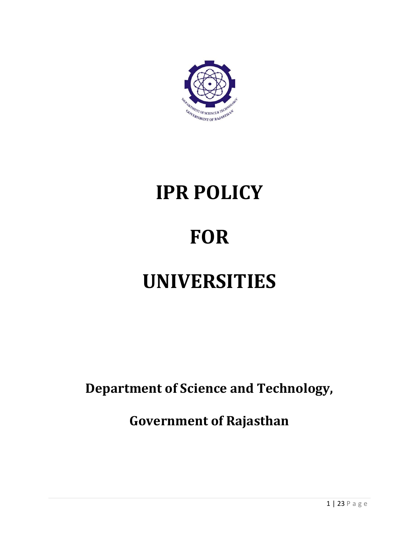

# **IPR POLICY FOR UNIVERSITIES**

**Department of Science and Technology,**

**Government of Rajasthan**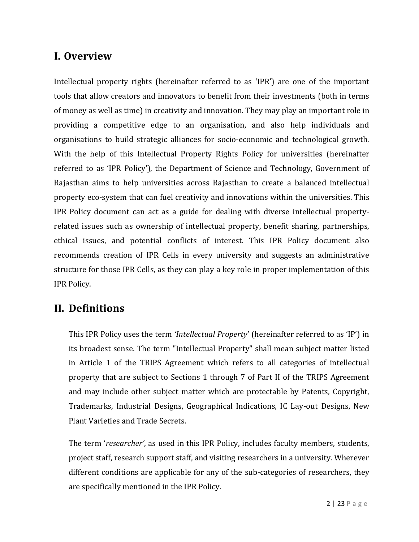## **I. Overview**

Intellectual property rights (hereinafter referred to as 'IPR') are one of the important tools that allow creators and innovators to benefit from their investments (both in terms of money as well as time) in creativity and innovation. They may play an important role in providing a competitive edge to an organisation, and also help individuals and organisations to build strategic alliances for socio-economic and technological growth. With the help of this Intellectual Property Rights Policy for universities (hereinafter referred to as 'IPR Policy'), the Department of Science and Technology, Government of Rajasthan aims to help universities across Rajasthan to create a balanced intellectual property eco-system that can fuel creativity and innovations within the universities. This IPR Policy document can act as a guide for dealing with diverse intellectual propertyrelated issues such as ownership of intellectual property, benefit sharing, partnerships, ethical issues, and potential conflicts of interest. This IPR Policy document also recommends creation of IPR Cells in every university and suggests an administrative structure for those IPR Cells, as they can play a key role in proper implementation of this IPR Policy.

## **II. Definitions**

This IPR Policy uses the term *'Intellectual Property*' (hereinafter referred to as 'IP') in its broadest sense. The term "Intellectual Property" shall mean subject matter listed in Article 1 of the TRIPS Agreement which refers to all categories of intellectual property that are subject to Sections 1 through 7 of Part II of the TRIPS Agreement and may include other subject matter which are protectable by Patents, Copyright, Trademarks, Industrial Designs, Geographical Indications, IC Lay-out Designs, New Plant Varieties and Trade Secrets.

The term '*researcher'*, as used in this IPR Policy, includes faculty members, students, project staff, research support staff, and visiting researchers in a university. Wherever different conditions are applicable for any of the sub-categories of researchers, they are specifically mentioned in the IPR Policy.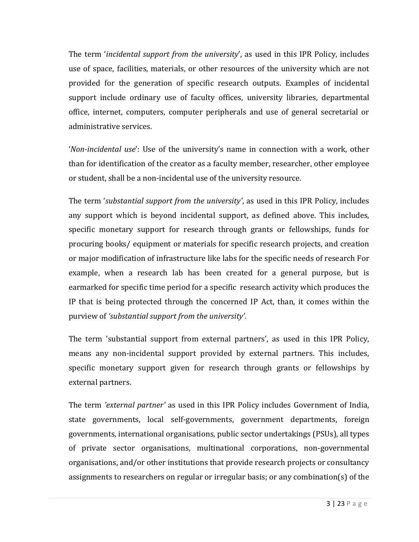The term '*incidental support from the university*', as used in this IPR Policy, includes use of space, facilities, materials, or other resources of the university which are not provided for the generation of specific research outputs. Examples of incidental support include ordinary use of faculty offices, university libraries, departmental office, internet, computers, computer peripherals and use of general secretarial or administrative services.

'*Non-incidental use*': Use of the university's name in connection with a work, other than for identification of the creator as a faculty member, researcher, other employee or student, shall be a non-incidental use of the university resource.

The term '*substantial support from the university'*, as used in this IPR Policy, includes any support which is beyond incidental support, as defined above. This includes, specific monetary support for research through grants or fellowships, funds for procuring books/ equipment or materials for specific research projects, and creation or major modification of infrastructure like labs for the specific needs of research For example, when a research lab has been created for a general purpose, but is earmarked for specific time period for a specific research activity which produces the IP that is being protected through the concerned IP Act, than, it comes within the purview of *'substantial support from the university'.*

The term 'substantial support from external partners', as used in this IPR Policy, means any non-incidental support provided by external partners. This includes, specific monetary support given for research through grants or fellowships by external partners.

The term *'external partner'* as used in this IPR Policy includes Government of India, state governments, local self-governments, government departments, foreign governments, international organisations, public sector undertakings (PSUs), all types of private sector organisations, multinational corporations, non-governmental organisations, and/or other institutions that provide research projects or consultancy assignments to researchers on regular or irregular basis; or any combination(s) of the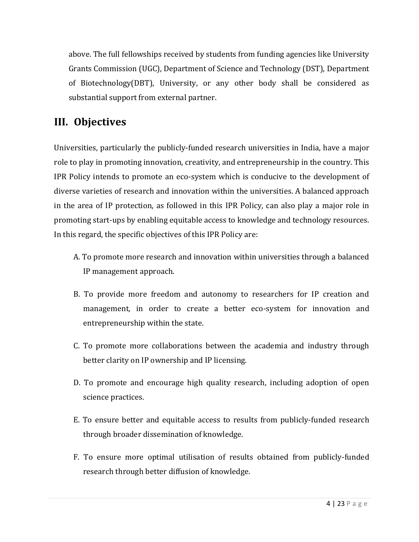above. The full fellowships received by students from funding agencies like University Grants Commission (UGC), Department of Science and Technology (DST), Department of Biotechnology(DBT), University, or any other body shall be considered as substantial support from external partner.

## **III. Objectives**

Universities, particularly the publicly-funded research universities in India, have a major role to play in promoting innovation, creativity, and entrepreneurship in the country. This IPR Policy intends to promote an eco-system which is conducive to the development of diverse varieties of research and innovation within the universities. A balanced approach in the area of IP protection, as followed in this IPR Policy, can also play a major role in promoting start-ups by enabling equitable access to knowledge and technology resources. In this regard, the specific objectives of this IPR Policy are:

- A. To promote more research and innovation within universities through a balanced IP management approach.
- B. To provide more freedom and autonomy to researchers for IP creation and management, in order to create a better eco-system for innovation and entrepreneurship within the state.
- C. To promote more collaborations between the academia and industry through better clarity on IP ownership and IP licensing.
- D. To promote and encourage high quality research, including adoption of open science practices.
- E. To ensure better and equitable access to results from publicly-funded research through broader dissemination of knowledge.
- F. To ensure more optimal utilisation of results obtained from publicly-funded research through better diffusion of knowledge.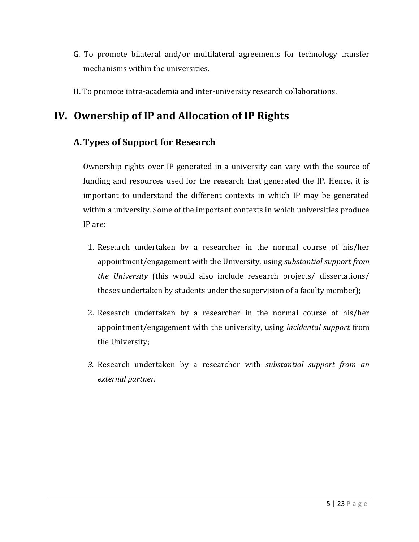- G. To promote bilateral and/or multilateral agreements for technology transfer mechanisms within the universities.
- H. To promote intra-academia and inter-university research collaborations.

## **IV. Ownership of IP and Allocation of IP Rights**

#### **A.Types of Support for Research**

Ownership rights over IP generated in a university can vary with the source of funding and resources used for the research that generated the IP. Hence, it is important to understand the different contexts in which IP may be generated within a university. Some of the important contexts in which universities produce IP are:

- 1. Research undertaken by a researcher in the normal course of his/her appointment/engagement with the University, using *substantial support from the University* (this would also include research projects/ dissertations/ theses undertaken by students under the supervision of a faculty member);
- 2. Research undertaken by a researcher in the normal course of his/her appointment/engagement with the university, using *incidental support* from the University;
- *3.* Research undertaken by a researcher with *substantial support from an external partner.*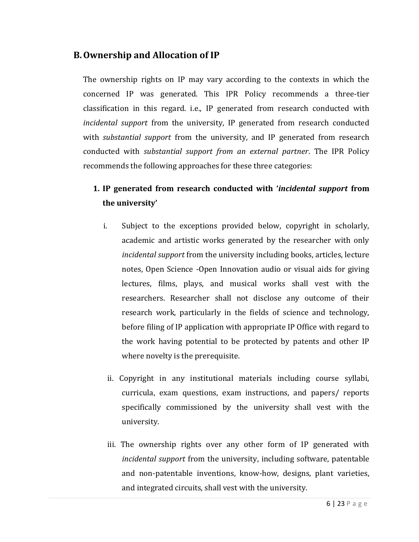#### **B.Ownership and Allocation of IP**

The ownership rights on IP may vary according to the contexts in which the concerned IP was generated. This IPR Policy recommends a three-tier classification in this regard. i.e., IP generated from research conducted with *incidental support* from the university, IP generated from research conducted with *substantial support* from the university, and IP generated from research conducted with *substantial support from an external partner*. The IPR Policy recommends the following approaches for these three categories:

#### **1. IP generated from research conducted with '***incidental support* **from the university'**

- i. Subject to the exceptions provided below, copyright in scholarly, academic and artistic works generated by the researcher with only *incidental support* from the university including books, articles, lecture notes, Open Science -Open Innovation audio or visual aids for giving lectures, films, plays, and musical works shall vest with the researchers. Researcher shall not disclose any outcome of their research work, particularly in the fields of science and technology, before filing of IP application with appropriate IP Office with regard to the work having potential to be protected by patents and other IP where novelty is the prerequisite.
	- ii. Copyright in any institutional materials including course syllabi, curricula, exam questions, exam instructions, and papers/ reports specifically commissioned by the university shall vest with the university.
	- iii. The ownership rights over any other form of IP generated with *incidental support* from the university, including software, patentable and non-patentable inventions, know-how, designs, plant varieties, and integrated circuits, shall vest with the university.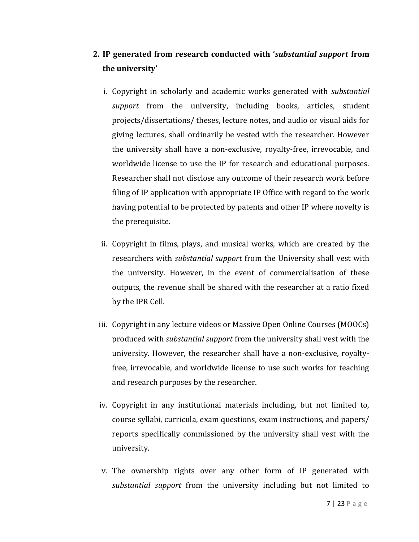#### **2. IP generated from research conducted with '***substantial support* **from the university'**

- i. Copyright in scholarly and academic works generated with *substantial support* from the university, including books, articles, student projects/dissertations/ theses, lecture notes, and audio or visual aids for giving lectures, shall ordinarily be vested with the researcher. However the university shall have a non-exclusive, royalty-free, irrevocable, and worldwide license to use the IP for research and educational purposes. Researcher shall not disclose any outcome of their research work before filing of IP application with appropriate IP Office with regard to the work having potential to be protected by patents and other IP where novelty is the prerequisite.
- ii. Copyright in films, plays, and musical works, which are created by the researchers with *substantial support* from the University shall vest with the university. However, in the event of commercialisation of these outputs, the revenue shall be shared with the researcher at a ratio fixed by the IPR Cell.
- iii. Copyright in any lecture videos or Massive Open Online Courses (MOOCs) produced with *substantial support* from the university shall vest with the university. However, the researcher shall have a non-exclusive, royaltyfree, irrevocable, and worldwide license to use such works for teaching and research purposes by the researcher.
- iv. Copyright in any institutional materials including, but not limited to, course syllabi, curricula, exam questions, exam instructions, and papers/ reports specifically commissioned by the university shall vest with the university.
- v. The ownership rights over any other form of IP generated with *substantial support* from the university including but not limited to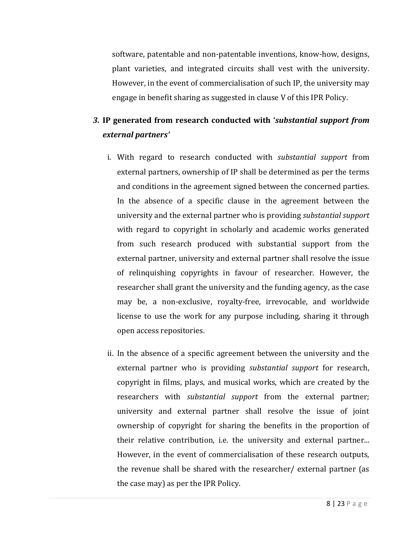software, patentable and non-patentable inventions, know-how, designs, plant varieties, and integrated circuits shall vest with the university. However, in the event of commercialisation of such IP, the university may engage in benefit sharing as suggested in clause V of this IPR Policy.

## *3.* **IP generated from research conducted with '***substantial support from external partners'*

- i. With regard to research conducted with *substantial support* from external partners, ownership of IP shall be determined as per the terms and conditions in the agreement signed between the concerned parties. In the absence of a specific clause in the agreement between the university and the external partner who is providing *substantial support* with regard to copyright in scholarly and academic works generated from such research produced with substantial support from the external partner, university and external partner shall resolve the issue of relinquishing copyrights in favour of researcher. However, the researcher shall grant the university and the funding agency, as the case may be, a non-exclusive, royalty-free, irrevocable, and worldwide license to use the work for any purpose including, sharing it through open access repositories.
- ii. In the absence of a specific agreement between the university and the external partner who is providing *substantial support* for research, copyright in films, plays, and musical works, which are created by the researchers with *substantial support* from the external partner; university and external partner shall resolve the issue of joint ownership of copyright for sharing the benefits in the proportion of their relative contribution, i.e. the university and external partner... However, in the event of commercialisation of these research outputs, the revenue shall be shared with the researcher/ external partner (as the case may) as per the IPR Policy.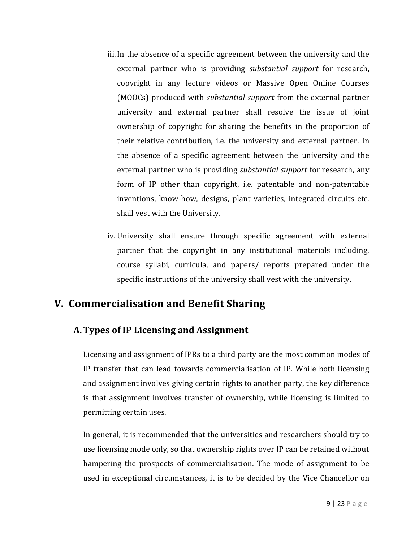- iii.In the absence of a specific agreement between the university and the external partner who is providing *substantial support* for research, copyright in any lecture videos or Massive Open Online Courses (MOOCs) produced with *substantial support* from the external partner university and external partner shall resolve the issue of joint ownership of copyright for sharing the benefits in the proportion of their relative contribution, i.e. the university and external partner. In the absence of a specific agreement between the university and the external partner who is providing *substantial support* for research, any form of IP other than copyright, i.e. patentable and non-patentable inventions, know-how, designs, plant varieties, integrated circuits etc. shall vest with the University.
- iv. University shall ensure through specific agreement with external partner that the copyright in any institutional materials including, course syllabi, curricula, and papers/ reports prepared under the specific instructions of the university shall vest with the university.

## **V. Commercialisation and Benefit Sharing**

#### **A.Types of IP Licensing and Assignment**

Licensing and assignment of IPRs to a third party are the most common modes of IP transfer that can lead towards commercialisation of IP. While both licensing and assignment involves giving certain rights to another party, the key difference is that assignment involves transfer of ownership, while licensing is limited to permitting certain uses.

In general, it is recommended that the universities and researchers should try to use licensing mode only, so that ownership rights over IP can be retained without hampering the prospects of commercialisation. The mode of assignment to be used in exceptional circumstances, it is to be decided by the Vice Chancellor on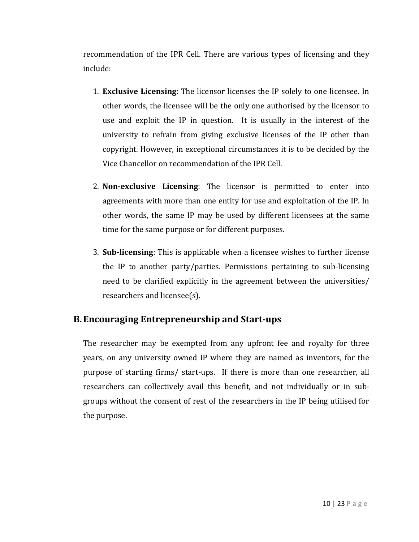recommendation of the IPR Cell. There are various types of licensing and they include:

- 1. **Exclusive Licensing**: The licensor licenses the IP solely to one licensee. In other words, the licensee will be the only one authorised by the licensor to use and exploit the IP in question. It is usually in the interest of the university to refrain from giving exclusive licenses of the IP other than copyright. However, in exceptional circumstances it is to be decided by the Vice Chancellor on recommendation of the IPR Cell.
- 2. **Non-exclusive Licensing**: The licensor is permitted to enter into agreements with more than one entity for use and exploitation of the IP. In other words, the same IP may be used by different licensees at the same time for the same purpose or for different purposes.
- 3. **Sub-licensing**: This is applicable when a licensee wishes to further license the IP to another party/parties. Permissions pertaining to sub-licensing need to be clarified explicitly in the agreement between the universities/ researchers and licensee(s).

#### **B.Encouraging Entrepreneurship and Start-ups**

The researcher may be exempted from any upfront fee and royalty for three years, on any university owned IP where they are named as inventors, for the purpose of starting firms/ start-ups. If there is more than one researcher, all researchers can collectively avail this benefit, and not individually or in subgroups without the consent of rest of the researchers in the IP being utilised for the purpose.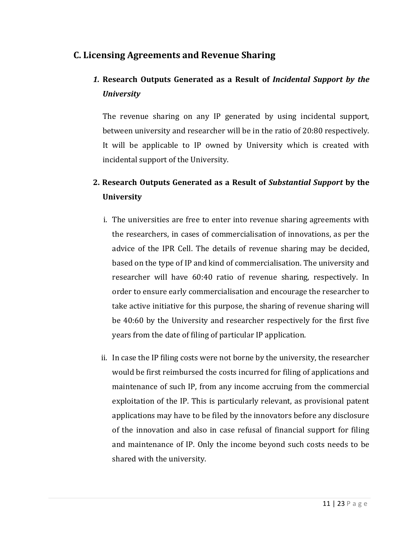#### **C. Licensing Agreements and Revenue Sharing**

## *1.* **Research Outputs Generated as a Result of** *Incidental Support by the University*

The revenue sharing on any IP generated by using incidental support, between university and researcher will be in the ratio of 20:80 respectively. It will be applicable to IP owned by University which is created with incidental support of the University.

## **2. Research Outputs Generated as a Result of** *Substantial Support* **by the University**

- i. The universities are free to enter into revenue sharing agreements with the researchers, in cases of commercialisation of innovations, as per the advice of the IPR Cell. The details of revenue sharing may be decided, based on the type of IP and kind of commercialisation. The university and researcher will have 60:40 ratio of revenue sharing, respectively. In order to ensure early commercialisation and encourage the researcher to take active initiative for this purpose, the sharing of revenue sharing will be 40:60 by the University and researcher respectively for the first five years from the date of filing of particular IP application.
- ii. In case the IP filing costs were not borne by the university, the researcher would be first reimbursed the costs incurred for filing of applications and maintenance of such IP, from any income accruing from the commercial exploitation of the IP. This is particularly relevant, as provisional patent applications may have to be filed by the innovators before any disclosure of the innovation and also in case refusal of financial support for filing and maintenance of IP. Only the income beyond such costs needs to be shared with the university.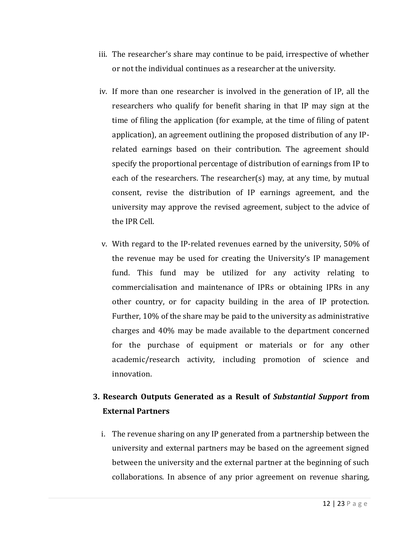- iii. The researcher's share may continue to be paid, irrespective of whether or not the individual continues as a researcher at the university.
- iv. If more than one researcher is involved in the generation of IP, all the researchers who qualify for benefit sharing in that IP may sign at the time of filing the application (for example, at the time of filing of patent application), an agreement outlining the proposed distribution of any IPrelated earnings based on their contribution. The agreement should specify the proportional percentage of distribution of earnings from IP to each of the researchers. The researcher(s) may, at any time, by mutual consent, revise the distribution of IP earnings agreement, and the university may approve the revised agreement, subject to the advice of the IPR Cell.
- v. With regard to the IP-related revenues earned by the university, 50% of the revenue may be used for creating the University's IP management fund. This fund may be utilized for any activity relating to commercialisation and maintenance of IPRs or obtaining IPRs in any other country, or for capacity building in the area of IP protection. Further, 10% of the share may be paid to the university as administrative charges and 40% may be made available to the department concerned for the purchase of equipment or materials or for any other academic/research activity, including promotion of science and innovation.

#### **3. Research Outputs Generated as a Result of** *Substantial Support* **from External Partners**

i. The revenue sharing on any IP generated from a partnership between the university and external partners may be based on the agreement signed between the university and the external partner at the beginning of such collaborations. In absence of any prior agreement on revenue sharing,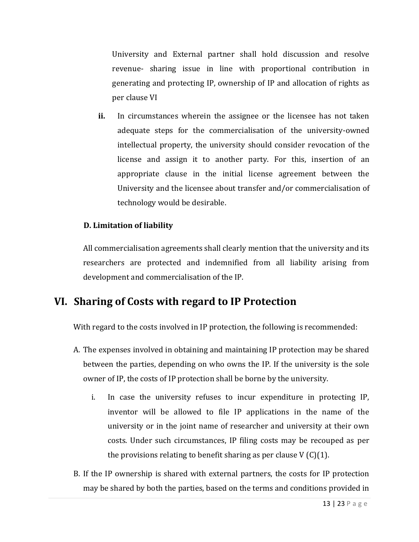University and External partner shall hold discussion and resolve revenue- sharing issue in line with proportional contribution in generating and protecting IP, ownership of IP and allocation of rights as per clause VI

**ii.** In circumstances wherein the assignee or the licensee has not taken adequate steps for the commercialisation of the university-owned intellectual property, the university should consider revocation of the license and assign it to another party. For this, insertion of an appropriate clause in the initial license agreement between the University and the licensee about transfer and/or commercialisation of technology would be desirable.

#### **D. Limitation of liability**

All commercialisation agreements shall clearly mention that the university and its researchers are protected and indemnified from all liability arising from development and commercialisation of the IP.

## **VI. Sharing of Costs with regard to IP Protection**

With regard to the costs involved in IP protection, the following is recommended:

- A. The expenses involved in obtaining and maintaining IP protection may be shared between the parties, depending on who owns the IP. If the university is the sole owner of IP, the costs of IP protection shall be borne by the university.
	- i. In case the university refuses to incur expenditure in protecting IP, inventor will be allowed to file IP applications in the name of the university or in the joint name of researcher and university at their own costs. Under such circumstances, IP filing costs may be recouped as per the provisions relating to benefit sharing as per clause  $V(C)(1)$ .
- B. If the IP ownership is shared with external partners, the costs for IP protection may be shared by both the parties, based on the terms and conditions provided in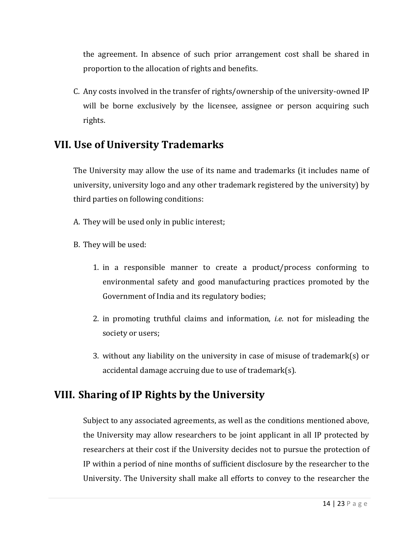the agreement. In absence of such prior arrangement cost shall be shared in proportion to the allocation of rights and benefits.

C. Any costs involved in the transfer of rights/ownership of the university-owned IP will be borne exclusively by the licensee, assignee or person acquiring such rights.

## **VII. Use of University Trademarks**

The University may allow the use of its name and trademarks (it includes name of university, university logo and any other trademark registered by the university) by third parties on following conditions:

- A. They will be used only in public interest;
- B. They will be used:
	- 1. in a responsible manner to create a product/process conforming to environmental safety and good manufacturing practices promoted by the Government of India and its regulatory bodies;
	- 2. in promoting truthful claims and information, *i.e.* not for misleading the society or users;
	- 3. without any liability on the university in case of misuse of trademark(s) or accidental damage accruing due to use of trademark(s).

## **VIII. Sharing of IP Rights by the University**

Subject to any associated agreements, as well as the conditions mentioned above, the University may allow researchers to be joint applicant in all IP protected by researchers at their cost if the University decides not to pursue the protection of IP within a period of nine months of sufficient disclosure by the researcher to the University. The University shall make all efforts to convey to the researcher the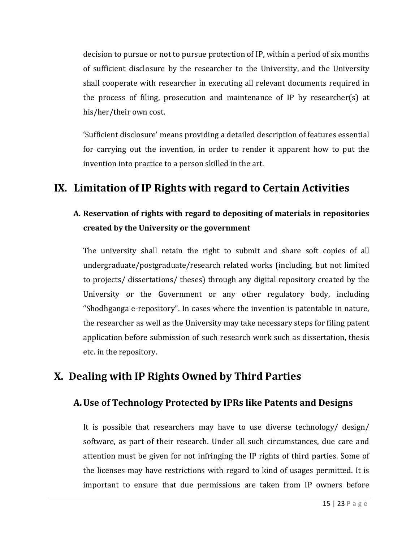decision to pursue or not to pursue protection of IP, within a period of six months of sufficient disclosure by the researcher to the University, and the University shall cooperate with researcher in executing all relevant documents required in the process of filing, prosecution and maintenance of IP by researcher(s) at his/her/their own cost.

'Sufficient disclosure' means providing a detailed description of features essential for carrying out the invention, in order to render it apparent how to put the invention into practice to a person skilled in the art.

## **IX. Limitation of IP Rights with regard to Certain Activities**

#### **A. Reservation of rights with regard to depositing of materials in repositories created by the University or the government**

The university shall retain the right to submit and share soft copies of all undergraduate/postgraduate/research related works (including, but not limited to projects/ dissertations/ theses) through any digital repository created by the University or the Government or any other regulatory body, including "Shodhganga e-repository". In cases where the invention is patentable in nature, the researcher as well as the University may take necessary steps for filing patent application before submission of such research work such as dissertation, thesis etc. in the repository.

## **X. Dealing with IP Rights Owned by Third Parties**

#### **A.Use of Technology Protected by IPRs like Patents and Designs**

It is possible that researchers may have to use diverse technology/ design/ software, as part of their research. Under all such circumstances, due care and attention must be given for not infringing the IP rights of third parties. Some of the licenses may have restrictions with regard to kind of usages permitted. It is important to ensure that due permissions are taken from IP owners before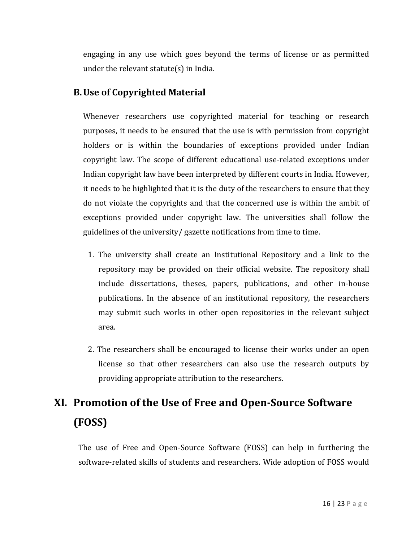engaging in any use which goes beyond the terms of license or as permitted under the relevant statute(s) in India.

#### **B.Use of Copyrighted Material**

Whenever researchers use copyrighted material for teaching or research purposes, it needs to be ensured that the use is with permission from copyright holders or is within the boundaries of exceptions provided under Indian copyright law. The scope of different educational use-related exceptions under Indian copyright law have been interpreted by different courts in India. However, it needs to be highlighted that it is the duty of the researchers to ensure that they do not violate the copyrights and that the concerned use is within the ambit of exceptions provided under copyright law. The universities shall follow the guidelines of the university/ gazette notifications from time to time.

- 1. The university shall create an Institutional Repository and a link to the repository may be provided on their official website. The repository shall include dissertations, theses, papers, publications, and other in-house publications. In the absence of an institutional repository, the researchers may submit such works in other open repositories in the relevant subject area.
- 2. The researchers shall be encouraged to license their works under an open license so that other researchers can also use the research outputs by providing appropriate attribution to the researchers.

## **XI. Promotion of the Use of Free and Open-Source Software (FOSS)**

The use of Free and Open-Source Software (FOSS) can help in furthering the software-related skills of students and researchers. Wide adoption of FOSS would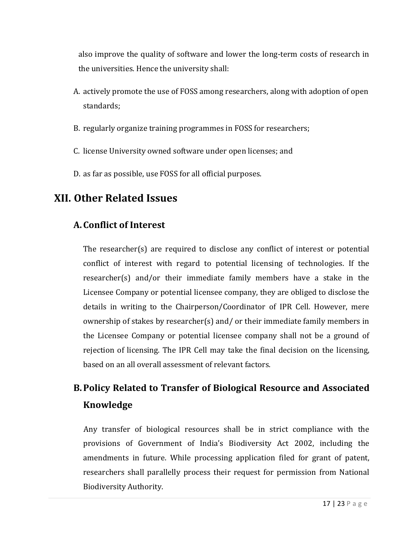also improve the quality of software and lower the long-term costs of research in the universities. Hence the university shall:

- A. actively promote the use of FOSS among researchers, along with adoption of open standards;
- B. regularly organize training programmes in FOSS for researchers;
- C. license University owned software under open licenses; and
- D. as far as possible, use FOSS for all official purposes.

## **XII. Other Related Issues**

#### **A.Conflict of Interest**

The researcher(s) are required to disclose any conflict of interest or potential conflict of interest with regard to potential licensing of technologies. If the researcher(s) and/or their immediate family members have a stake in the Licensee Company or potential licensee company, they are obliged to disclose the details in writing to the Chairperson/Coordinator of IPR Cell. However, mere ownership of stakes by researcher(s) and/ or their immediate family members in the Licensee Company or potential licensee company shall not be a ground of rejection of licensing. The IPR Cell may take the final decision on the licensing, based on an all overall assessment of relevant factors.

## **B.Policy Related to Transfer of Biological Resource and Associated Knowledge**

Any transfer of biological resources shall be in strict compliance with the provisions of Government of India's Biodiversity Act 2002, including the amendments in future. While processing application filed for grant of patent, researchers shall parallelly process their request for permission from National Biodiversity Authority.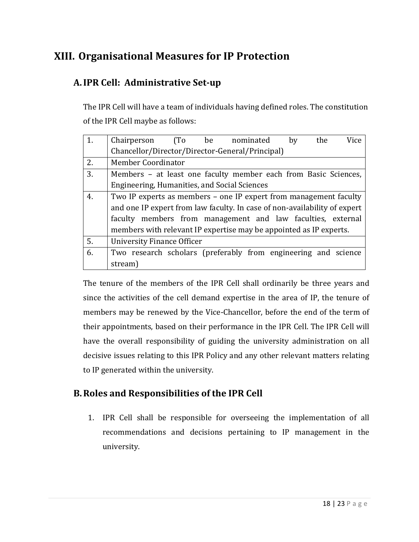## **XIII. Organisational Measures for IP Protection**

## **A.IPR Cell: Administrative Set-up**

The IPR Cell will have a team of individuals having defined roles. The constitution of the IPR Cell maybe as follows:

| 1. | the<br>Vice<br>Chairperson<br>(T <sub>0</sub> )<br>be<br>nominated<br>by  |
|----|---------------------------------------------------------------------------|
|    | Chancellor/Director/Director-General/Principal)                           |
| 2. | Member Coordinator                                                        |
| 3. | Members - at least one faculty member each from Basic Sciences,           |
|    | Engineering, Humanities, and Social Sciences                              |
| 4. | Two IP experts as members – one IP expert from management faculty         |
|    | and one IP expert from law faculty. In case of non-availability of expert |
|    | faculty members from management and law faculties, external               |
|    | members with relevant IP expertise may be appointed as IP experts.        |
| 5. | <b>University Finance Officer</b>                                         |
| 6. | Two research scholars (preferably from engineering and science            |
|    | stream)                                                                   |

The tenure of the members of the IPR Cell shall ordinarily be three years and since the activities of the cell demand expertise in the area of IP, the tenure of members may be renewed by the Vice-Chancellor, before the end of the term of their appointments, based on their performance in the IPR Cell. The IPR Cell will have the overall responsibility of guiding the university administration on all decisive issues relating to this IPR Policy and any other relevant matters relating to IP generated within the university.

#### **B.Roles and Responsibilities of the IPR Cell**

1. IPR Cell shall be responsible for overseeing the implementation of all recommendations and decisions pertaining to IP management in the university.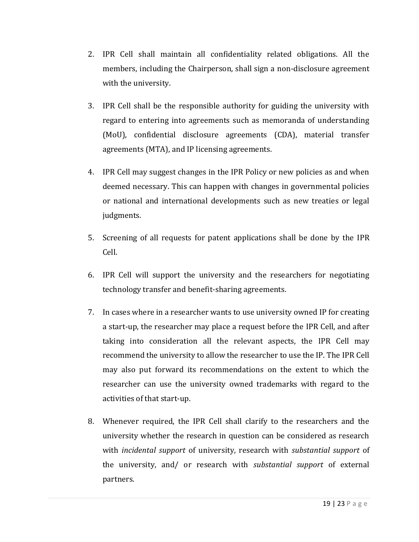- 2. IPR Cell shall maintain all confidentiality related obligations. All the members, including the Chairperson, shall sign a non-disclosure agreement with the university.
- 3. IPR Cell shall be the responsible authority for guiding the university with regard to entering into agreements such as memoranda of understanding (MoU), confidential disclosure agreements (CDA), material transfer agreements (MTA), and IP licensing agreements.
- 4. IPR Cell may suggest changes in the IPR Policy or new policies as and when deemed necessary. This can happen with changes in governmental policies or national and international developments such as new treaties or legal judgments.
- 5. Screening of all requests for patent applications shall be done by the IPR Cell.
- 6. IPR Cell will support the university and the researchers for negotiating technology transfer and benefit-sharing agreements.
- 7. In cases where in a researcher wants to use university owned IP for creating a start-up, the researcher may place a request before the IPR Cell, and after taking into consideration all the relevant aspects, the IPR Cell may recommend the university to allow the researcher to use the IP. The IPR Cell may also put forward its recommendations on the extent to which the researcher can use the university owned trademarks with regard to the activities of that start-up.
- 8. Whenever required, the IPR Cell shall clarify to the researchers and the university whether the research in question can be considered as research with *incidental support* of university, research with *substantial support* of the university, and/ or research with *substantial support* of external partners.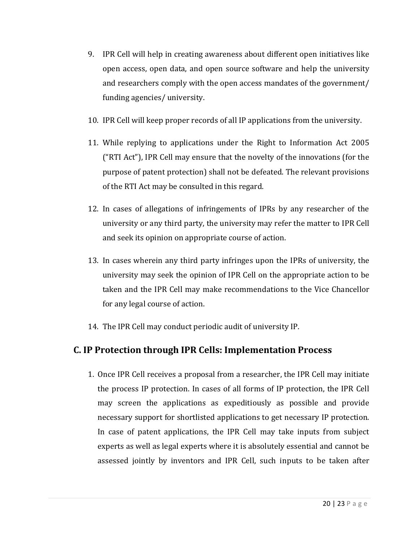- 9. IPR Cell will help in creating awareness about different open initiatives like open access, open data, and open source software and help the university and researchers comply with the open access mandates of the government/ funding agencies/ university.
- 10. IPR Cell will keep proper records of all IP applications from the university.
- 11. While replying to applications under the Right to Information Act 2005 ("RTI Act"), IPR Cell may ensure that the novelty of the innovations (for the purpose of patent protection) shall not be defeated. The relevant provisions of the RTI Act may be consulted in this regard.
- 12. In cases of allegations of infringements of IPRs by any researcher of the university or any third party, the university may refer the matter to IPR Cell and seek its opinion on appropriate course of action.
- 13. In cases wherein any third party infringes upon the IPRs of university, the university may seek the opinion of IPR Cell on the appropriate action to be taken and the IPR Cell may make recommendations to the Vice Chancellor for any legal course of action.
- 14. The IPR Cell may conduct periodic audit of university IP.

## **C. IP Protection through IPR Cells: Implementation Process**

1. Once IPR Cell receives a proposal from a researcher, the IPR Cell may initiate the process IP protection. In cases of all forms of IP protection, the IPR Cell may screen the applications as expeditiously as possible and provide necessary support for shortlisted applications to get necessary IP protection. In case of patent applications, the IPR Cell may take inputs from subject experts as well as legal experts where it is absolutely essential and cannot be assessed jointly by inventors and IPR Cell, such inputs to be taken after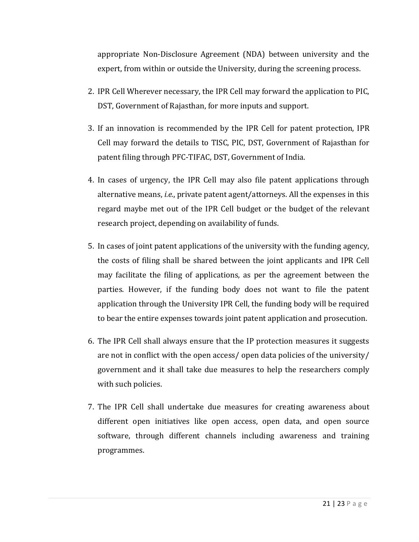appropriate Non-Disclosure Agreement (NDA) between university and the expert, from within or outside the University, during the screening process.

- 2. IPR Cell Wherever necessary, the IPR Cell may forward the application to PIC, DST, Government of Rajasthan, for more inputs and support.
- 3. If an innovation is recommended by the IPR Cell for patent protection, IPR Cell may forward the details to TISC, PIC, DST, Government of Rajasthan for patent filing through PFC-TIFAC, DST, Government of India.
- 4. In cases of urgency, the IPR Cell may also file patent applications through alternative means, *i.e.*, private patent agent/attorneys. All the expenses in this regard maybe met out of the IPR Cell budget or the budget of the relevant research project, depending on availability of funds.
- 5. In cases of joint patent applications of the university with the funding agency, the costs of filing shall be shared between the joint applicants and IPR Cell may facilitate the filing of applications, as per the agreement between the parties. However, if the funding body does not want to file the patent application through the University IPR Cell, the funding body will be required to bear the entire expenses towards joint patent application and prosecution.
- 6. The IPR Cell shall always ensure that the IP protection measures it suggests are not in conflict with the open access/ open data policies of the university/ government and it shall take due measures to help the researchers comply with such policies.
- 7. The IPR Cell shall undertake due measures for creating awareness about different open initiatives like open access, open data, and open source software, through different channels including awareness and training programmes.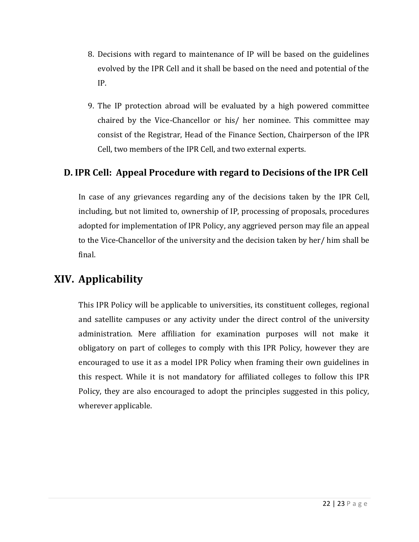- 8. Decisions with regard to maintenance of IP will be based on the guidelines evolved by the IPR Cell and it shall be based on the need and potential of the IP.
- 9. The IP protection abroad will be evaluated by a high powered committee chaired by the Vice-Chancellor or his/ her nominee. This committee may consist of the Registrar, Head of the Finance Section, Chairperson of the IPR Cell, two members of the IPR Cell, and two external experts.

#### **D. IPR Cell: Appeal Procedure with regard to Decisions of the IPR Cell**

In case of any grievances regarding any of the decisions taken by the IPR Cell, including, but not limited to, ownership of IP, processing of proposals, procedures adopted for implementation of IPR Policy, any aggrieved person may file an appeal to the Vice-Chancellor of the university and the decision taken by her/ him shall be final.

## **XIV. Applicability**

This IPR Policy will be applicable to universities, its constituent colleges, regional and satellite campuses or any activity under the direct control of the university administration. Mere affiliation for examination purposes will not make it obligatory on part of colleges to comply with this IPR Policy, however they are encouraged to use it as a model IPR Policy when framing their own guidelines in this respect. While it is not mandatory for affiliated colleges to follow this IPR Policy, they are also encouraged to adopt the principles suggested in this policy, wherever applicable.